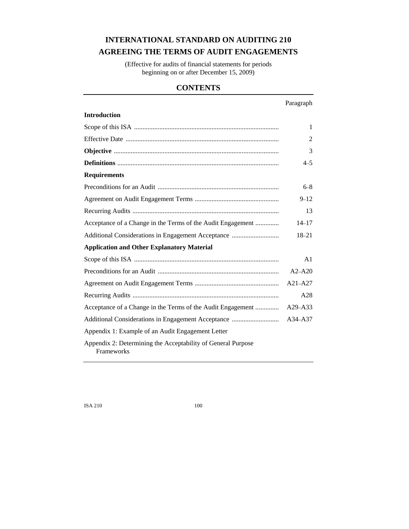# **INTERNATIONAL STANDARD ON AUDITING 210 AGREEING THE TERMS OF AUDIT ENGAGEMENTS**

(Effective for audits of financial statements for periods beginning on or after December 15, 2009)

# **CONTENTS**

Paragraph **Introduction**  Scope of this ISA ...................................................................................... 1 Effective Date ........................................................................................... 2 **Objective** .................................................................................................. 3 **Definitions** ................................................................................................ 4–5 **Requirements**  Preconditions for an Audit ........................................................................ 6–8 Agreement on Audit Engagement Terms .................................................. 9–12 Recurring Audits ....................................................................................... 13 Acceptance of a Change in the Terms of the Audit Engagement .............. 14–17 Additional Considerations in Engagement Acceptance ............................ 18–21 **Application and Other Explanatory Material** Scope of this ISA ...................................................................................... A1 Preconditions for an Audit ........................................................................ A2–A20 Agreement on Audit Engagement Terms .................................................. A21–A27 Recurring Audits ....................................................................................... A28 Acceptance of a Change in the Terms of the Audit Engagement .............. A29–A33 Additional Considerations in Engagement Acceptance ............................ A34–A37 Appendix 1: Example of an Audit Engagement Letter Appendix 2: Determining the Acceptability of General Purpose Frameworks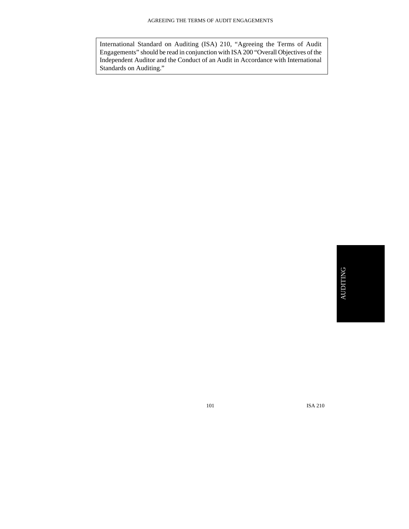International Standard on Auditing (ISA) 210, "Agreeing the Terms of Audit Engagements" should be read in conjunction with ISA 200 "Overall Objectives of the Independent Auditor and the Conduct of an Audit in Accordance with International Standards on Auditing."

# **AUDITING** AUDITING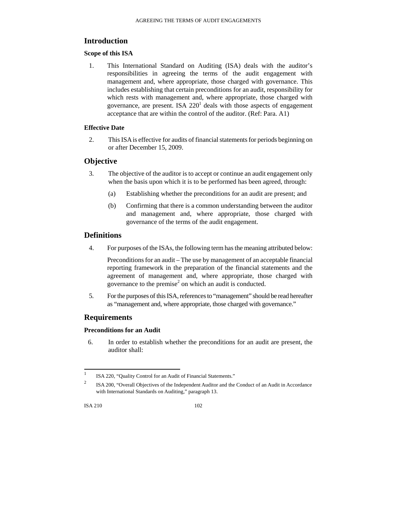# **Introduction**

### **Scope of this ISA**

1. This International Standard on Auditing (ISA) deals with the auditor's responsibilities in agreeing the terms of the audit engagement with management and, where appropriate, those charged with governance. This includes establishing that certain preconditions for an audit, responsibility for which rests with management and, where appropriate, those charged with governance, are present. ISA  $220<sup>1</sup>$  deals with those aspects of engagement acceptance that are within the control of the auditor. (Ref: Para. A1)

#### **Effective Date**

2. This ISA is effective for audits of financial statements for periods beginning on or after December 15, 2009.

# **Objective**

- 3. The objective of the auditor is to accept or continue an audit engagement only when the basis upon which it is to be performed has been agreed, through:
	- (a) Establishing whether the preconditions for an audit are present; and
	- (b) Confirming that there is a common understanding between the auditor and management and, where appropriate, those charged with governance of the terms of the audit engagement.

# **Definitions**

4. For purposes of the ISAs, the following term has the meaning attributed below:

Preconditions for an audit – The use by management of an acceptable financial reporting framework in the preparation of the financial statements and the agreement of management and, where appropriate, those charged with governance to the premise<sup>2</sup> on which an audit is conducted.

5. For the purposes of this ISA, references to "management" should be read hereafter as "management and, where appropriate, those charged with governance."

# **Requirements**

#### **Preconditions for an Audit**

6. In order to establish whether the preconditions for an audit are present, the auditor shall:

 $\,1$ <sup>1</sup> ISA 220, "Quality Control for an Audit of Financial Statements."

<sup>&</sup>lt;sup>2</sup> ISA 200, "Overall Objectives of the Independent Auditor and the Conduct of an Audit in Accordance with International Standards on Auditing," paragraph 13.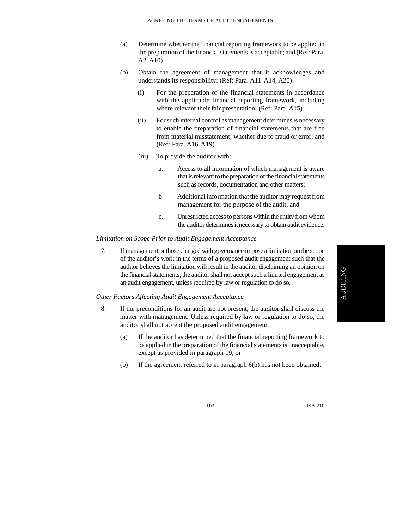- (a) Determine whether the financial reporting framework to be applied in the preparation of the financial statements is acceptable; and (Ref: Para. A2–A10)
- (b) Obtain the agreement of management that it acknowledges and understands its responsibility: (Ref: Para. A11–A14, A20)
	- (i) For the preparation of the financial statements in accordance with the applicable financial reporting framework, including where relevant their fair presentation; (Ref: Para. A15)
	- (ii) For such internal control as management determines is necessary to enable the preparation of financial statements that are free from material misstatement, whether due to fraud or error; and (Ref: Para. A16–A19)
	- (iii) To provide the auditor with:
		- a. Access to all information of which management is aware that is relevant to the preparation of the financial statements such as records, documentation and other matters;
		- b. Additional information that the auditor may request from management for the purpose of the audit; and
		- c. Unrestricted access to persons within the entity from whom the auditor determines it necessary to obtain audit evidence.

#### *Limitation on Scope Prior to Audit Engagement Acceptance*

7. If management or those charged with governance impose a limitation on the scope of the auditor's work in the terms of a proposed audit engagement such that the auditor believes the limitation will result in the auditor disclaiming an opinion on the financial statements, the auditor shall not accept such a limited engagement as an audit engagement, unless required by law or regulation to do so.

#### *Other Factors Affecting Audit Engagement Acceptance*

- 8. If the preconditions for an audit are not present, the auditor shall discuss the matter with management. Unless required by law or regulation to do so, the auditor shall not accept the proposed audit engagement:
	- (a) If the auditor has determined that the financial reporting framework to be applied in the preparation of the financial statements is unacceptable, except as provided in paragraph 19; or
	- (b) If the agreement referred to in paragraph 6(b) has not been obtained.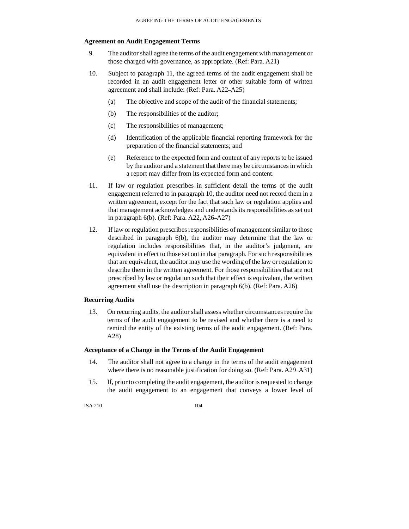#### **Agreement on Audit Engagement Terms**

- 9. The auditor shall agree the terms of the audit engagement with management or those charged with governance, as appropriate. (Ref: Para. A21)
- 10. Subject to paragraph 11, the agreed terms of the audit engagement shall be recorded in an audit engagement letter or other suitable form of written agreement and shall include: (Ref: Para. A22–A25)
	- (a) The objective and scope of the audit of the financial statements;
	- (b) The responsibilities of the auditor;
	- (c) The responsibilities of management;
	- (d) Identification of the applicable financial reporting framework for the preparation of the financial statements; and
	- (e) Reference to the expected form and content of any reports to be issued by the auditor and a statement that there may be circumstances in which a report may differ from its expected form and content.
- 11. If law or regulation prescribes in sufficient detail the terms of the audit engagement referred to in paragraph 10, the auditor need not record them in a written agreement, except for the fact that such law or regulation applies and that management acknowledges and understands its responsibilities as set out in paragraph 6(b). (Ref: Para. A22, A26–A27)
- 12. If law or regulation prescribes responsibilities of management similar to those described in paragraph 6(b), the auditor may determine that the law or regulation includes responsibilities that, in the auditor's judgment, are equivalent in effect to those set out in that paragraph. For such responsibilities that are equivalent, the auditor may use the wording of the law or regulation to describe them in the written agreement. For those responsibilities that are not prescribed by law or regulation such that their effect is equivalent, the written agreement shall use the description in paragraph 6(b). (Ref: Para. A26)

#### **Recurring Audits**

13. On recurring audits, the auditor shall assess whether circumstances require the terms of the audit engagement to be revised and whether there is a need to remind the entity of the existing terms of the audit engagement. (Ref: Para. A28)

#### **Acceptance of a Change in the Terms of the Audit Engagement**

- 14. The auditor shall not agree to a change in the terms of the audit engagement where there is no reasonable justification for doing so. (Ref: Para. A29–A31)
- 15. If, prior to completing the audit engagement, the auditor is requested to change the audit engagement to an engagement that conveys a lower level of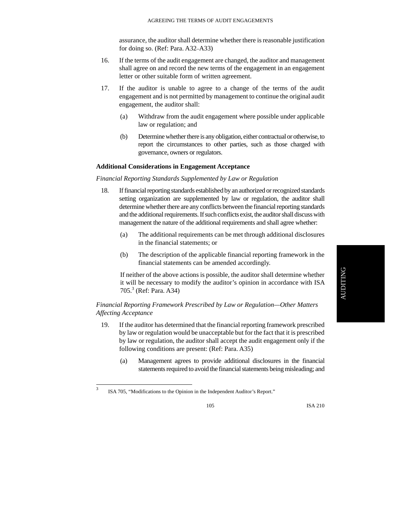assurance, the auditor shall determine whether there is reasonable justification for doing so. (Ref: Para. A32–A33)

- 16. If the terms of the audit engagement are changed, the auditor and management shall agree on and record the new terms of the engagement in an engagement letter or other suitable form of written agreement.
- 17. If the auditor is unable to agree to a change of the terms of the audit engagement and is not permitted by management to continue the original audit engagement, the auditor shall:
	- (a) Withdraw from the audit engagement where possible under applicable law or regulation; and
	- (b) Determine whether there is any obligation, either contractual or otherwise, to report the circumstances to other parties, such as those charged with governance, owners or regulators.

#### **Additional Considerations in Engagement Acceptance**

#### *Financial Reporting Standards Supplemented by Law or Regulation*

- 18. If financial reporting standards established by an authorized or recognized standards setting organization are supplemented by law or regulation, the auditor shall determine whether there are any conflicts between the financial reporting standards and the additional requirements. If such conflicts exist, the auditor shall discuss with management the nature of the additional requirements and shall agree whether:
	- (a) The additional requirements can be met through additional disclosures in the financial statements; or
	- (b) The description of the applicable financial reporting framework in the financial statements can be amended accordingly.

If neither of the above actions is possible, the auditor shall determine whether it will be necessary to modify the auditor's opinion in accordance with ISA 705.3 (Ref: Para. A34)

## *Financial Reporting Framework Prescribed by Law or Regulation—Other Matters Affecting Acceptance*

- 19. If the auditor has determined that the financial reporting framework prescribed by law or regulation would be unacceptable but for the fact that it is prescribed by law or regulation, the auditor shall accept the audit engagement only if the following conditions are present: (Ref: Para. A35)
	- (a) Management agrees to provide additional disclosures in the financial statements required to avoid the financial statements being misleading; and

AUDITING

 3 ISA 705, "Modifications to the Opinion in the Independent Auditor's Report."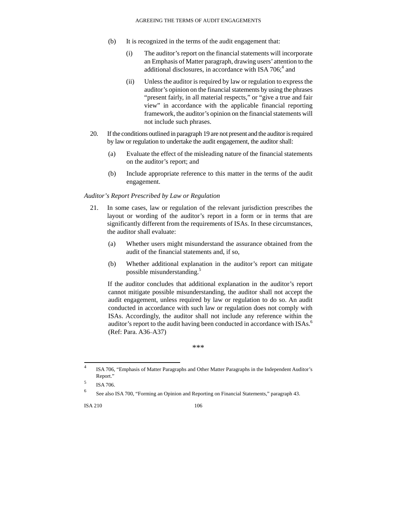- (b) It is recognized in the terms of the audit engagement that:
	- (i) The auditor's report on the financial statements will incorporate an Emphasis of Matter paragraph, drawing users' attention to the additional disclosures, in accordance with ISA 706;<sup>4</sup> and
	- (ii) Unless the auditor is required by law or regulation to express the auditor's opinion on the financial statements by using the phrases "present fairly, in all material respects," or "give a true and fair view" in accordance with the applicable financial reporting framework, the auditor's opinion on the financial statements will not include such phrases.
- 20. If the conditions outlined in paragraph 19 are not present and the auditor is required by law or regulation to undertake the audit engagement, the auditor shall:
	- (a) Evaluate the effect of the misleading nature of the financial statements on the auditor's report; and
	- (b) Include appropriate reference to this matter in the terms of the audit engagement.

#### *Auditor's Report Prescribed by Law or Regulation*

- 21. In some cases, law or regulation of the relevant jurisdiction prescribes the layout or wording of the auditor's report in a form or in terms that are significantly different from the requirements of ISAs. In these circumstances, the auditor shall evaluate:
	- (a) Whether users might misunderstand the assurance obtained from the audit of the financial statements and, if so,
	- (b) Whether additional explanation in the auditor's report can mitigate possible misunderstanding.<sup>5</sup>

If the auditor concludes that additional explanation in the auditor's report cannot mitigate possible misunderstanding, the auditor shall not accept the audit engagement, unless required by law or regulation to do so. An audit conducted in accordance with such law or regulation does not comply with ISAs. Accordingly, the auditor shall not include any reference within the auditor's report to the audit having been conducted in accordance with ISAs.<sup>6</sup> (Ref: Para. A36–A37)

<sup>\*\*\*</sup> 

 $\frac{1}{4}$  ISA 706, "Emphasis of Matter Paragraphs and Other Matter Paragraphs in the Independent Auditor's Report."

<sup>5</sup> ISA 706.

<sup>6</sup> See also ISA 700, "Forming an Opinion and Reporting on Financial Statements," paragraph 43.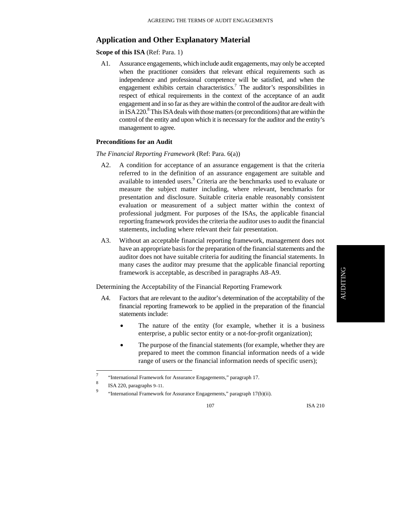# **Application and Other Explanatory Material**

**Scope of this ISA** (Ref: Para. 1)

A1. Assurance engagements, which include audit engagements, may only be accepted when the practitioner considers that relevant ethical requirements such as independence and professional competence will be satisfied, and when the engagement exhibits certain characteristics.<sup>7</sup> The auditor's responsibilities in respect of ethical requirements in the context of the acceptance of an audit engagement and in so far as they are within the control of the auditor are dealt with in ISA 220. $8$  This ISA deals with those matters (or preconditions) that are within the control of the entity and upon which it is necessary for the auditor and the entity's management to agree.

#### **Preconditions for an Audit**

#### *The Financial Reporting Framework* (Ref: Para. 6(a))

- A2. A condition for acceptance of an assurance engagement is that the criteria referred to in the definition of an assurance engagement are suitable and available to intended users.<sup>9</sup> Criteria are the benchmarks used to evaluate or measure the subject matter including, where relevant, benchmarks for presentation and disclosure. Suitable criteria enable reasonably consistent evaluation or measurement of a subject matter within the context of professional judgment. For purposes of the ISAs, the applicable financial reporting framework provides the criteria the auditor uses to audit the financial statements, including where relevant their fair presentation.
- A3. Without an acceptable financial reporting framework, management does not have an appropriate basis for the preparation of the financial statements and the auditor does not have suitable criteria for auditing the financial statements. In many cases the auditor may presume that the applicable financial reporting framework is acceptable, as described in paragraphs A8–A9.

Determining the Acceptability of the Financial Reporting Framework

- A4. Factors that are relevant to the auditor's determination of the acceptability of the financial reporting framework to be applied in the preparation of the financial statements include:
	- The nature of the entity (for example, whether it is a business enterprise, a public sector entity or a not-for-profit organization);
	- The purpose of the financial statements (for example, whether they are prepared to meet the common financial information needs of a wide range of users or the financial information needs of specific users);

107 ISA 210

AUDITING

<sup>-&</sup>lt;br>7 "International Framework for Assurance Engagements," paragraph 17.  $\frac{8}{100}$ 

 $\frac{8}{9}$  ISA 220, paragraphs 9–11.

 <sup>&</sup>quot;International Framework for Assurance Engagements," paragraph 17(b)(ii).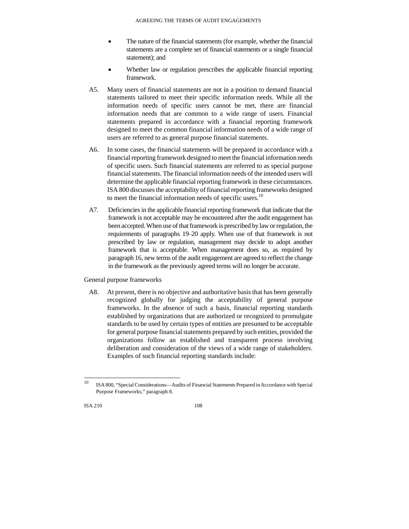- The nature of the financial statements (for example, whether the financial statements are a complete set of financial statements or a single financial statement); and
- Whether law or regulation prescribes the applicable financial reporting framework.
- A5. Many users of financial statements are not in a position to demand financial statements tailored to meet their specific information needs. While all the information needs of specific users cannot be met, there are financial information needs that are common to a wide range of users. Financial statements prepared in accordance with a financial reporting framework designed to meet the common financial information needs of a wide range of users are referred to as general purpose financial statements.
- A6. In some cases, the financial statements will be prepared in accordance with a financial reporting framework designed to meet the financial information needs of specific users. Such financial statements are referred to as special purpose financial statements. The financial information needs of the intended users will determine the applicable financial reporting framework in these circumstances. ISA 800 discusses the acceptability of financial reporting frameworks designed to meet the financial information needs of specific users.<sup>10</sup>
- A7. Deficiencies in the applicable financial reporting framework that indicate that the framework is not acceptable may be encountered after the audit engagement has been accepted. When use of that framework is prescribed by law or regulation, the requirements of paragraphs 19–20 apply. When use of that framework is not prescribed by law or regulation, management may decide to adopt another framework that is acceptable. When management does so, as required by paragraph 16, new terms of the audit engagement are agreed to reflect the change in the framework as the previously agreed terms will no longer be accurate.

General purpose frameworks

A8. At present, there is no objective and authoritative basis that has been generally recognized globally for judging the acceptability of general purpose frameworks. In the absence of such a basis, financial reporting standards established by organizations that are authorized or recognized to promulgate standards to be used by certain types of entities are presumed to be acceptable for general purpose financial statements prepared by such entities, provided the organizations follow an established and transparent process involving deliberation and consideration of the views of a wide range of stakeholders. Examples of such financial reporting standards include:

<sup>10</sup> 10 ISA 800, "Special Considerations—Audits of Financial Statements Prepared in Accordance with Special Purpose Frameworks," paragraph 8.

**ISA 210** 108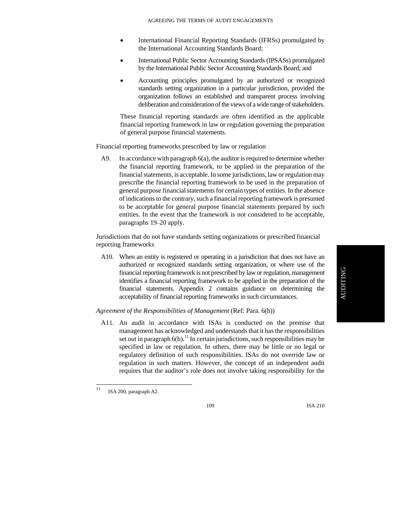- International Financial Reporting Standards (IFRSs) promulgated by the International Accounting Standards Board;
- International Public Sector Accounting Standards (IPSASs) promulgated by the International Public Sector Accounting Standards Board; and
- Accounting principles promulgated by an authorized or recognized standards setting organization in a particular jurisdiction, provided the organization follows an established and transparent process involving deliberation and consideration of the views of a wide range of stakeholders.

These financial reporting standards are often identified as the applicable financial reporting framework in law or regulation governing the preparation of general purpose financial statements.

Financial reporting frameworks prescribed by law or regulation

A9. In accordance with paragraph 6(a), the auditor is required to determine whether the financial reporting framework, to be applied in the preparation of the financial statements, is acceptable. In some jurisdictions, law or regulation may prescribe the financial reporting framework to be used in the preparation of general purpose financial statements for certain types of entities. In the absence of indications to the contrary, such a financial reporting framework is presumed to be acceptable for general purpose financial statements prepared by such entities. In the event that the framework is not considered to be acceptable, paragraphs 19–20 apply.

Jurisdictions that do not have standards setting organizations or prescribed financial reporting frameworks

A10. When an entity is registered or operating in a jurisdiction that does not have an authorized or recognized standards setting organization, or where use of the financial reporting framework is not prescribed by law or regulation, management identifies a financial reporting framework to be applied in the preparation of the financial statements. Appendix 2 contains guidance on determining the acceptability of financial reporting frameworks in such circumstances.

#### *Agreement of the Responsibilities of Management* (Ref: Para. 6(b))

A11. An audit in accordance with ISAs is conducted on the premise that management has acknowledged and understands that it has the responsibilities set out in paragraph  $6(b)$ .<sup>11</sup> In certain jurisdictions, such responsibilities may be specified in law or regulation. In others, there may be little or no legal or regulatory definition of such responsibilities. ISAs do not override law or regulation in such matters. However, the concept of an independent audit requires that the auditor's role does not involve taking responsibility for the



109 ISA 210

AUDITING

 $11$ ISA 200, paragraph A2.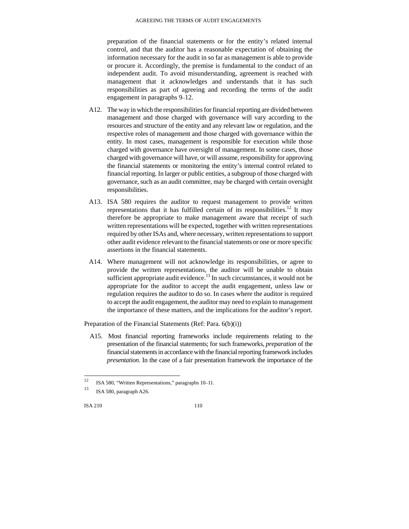preparation of the financial statements or for the entity's related internal control, and that the auditor has a reasonable expectation of obtaining the information necessary for the audit in so far as management is able to provide or procure it. Accordingly, the premise is fundamental to the conduct of an independent audit. To avoid misunderstanding, agreement is reached with management that it acknowledges and understands that it has such responsibilities as part of agreeing and recording the terms of the audit engagement in paragraphs 9–12.

- A12. The way in which the responsibilities for financial reporting are divided between management and those charged with governance will vary according to the resources and structure of the entity and any relevant law or regulation, and the respective roles of management and those charged with governance within the entity. In most cases, management is responsible for execution while those charged with governance have oversight of management. In some cases, those charged with governance will have, or will assume, responsibility for approving the financial statements or monitoring the entity's internal control related to financial reporting. In larger or public entities, a subgroup of those charged with governance, such as an audit committee, may be charged with certain oversight responsibilities.
- A13. ISA 580 requires the auditor to request management to provide written representations that it has fulfilled certain of its responsibilities.<sup>12</sup> It may therefore be appropriate to make management aware that receipt of such written representations will be expected, together with written representations required by other ISAs and, where necessary, written representations to support other audit evidence relevant to the financial statements or one or more specific assertions in the financial statements.
- A14. Where management will not acknowledge its responsibilities, or agree to provide the written representations, the auditor will be unable to obtain sufficient appropriate audit evidence.<sup>13</sup> In such circumstances, it would not be appropriate for the auditor to accept the audit engagement, unless law or regulation requires the auditor to do so. In cases where the auditor is required to accept the audit engagement, the auditor may need to explain to management the importance of these matters, and the implications for the auditor's report.

Preparation of the Financial Statements (Ref: Para. 6(b)(i))

A15. Most financial reporting frameworks include requirements relating to the presentation of the financial statements; for such frameworks, *preparation* of the financial statements in accordance with the financial reporting framework includes *presentation*. In the case of a fair presentation framework the importance of the

 $12$ <sup>12</sup> ISA 580, "Written Representations," paragraphs 10–11.<br><sup>13</sup> ISA 580, assessment A26

<sup>13</sup> ISA 580, paragraph A26.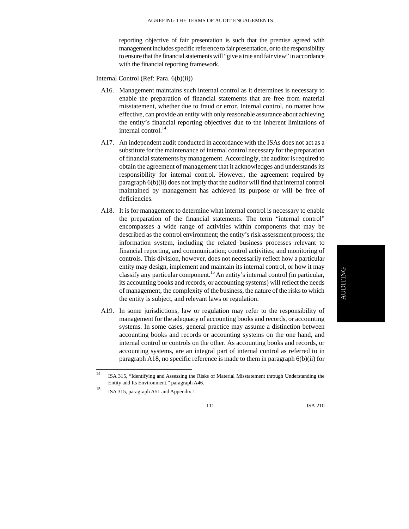reporting objective of fair presentation is such that the premise agreed with management includes specific reference to fair presentation, or to the responsibility to ensure that the financial statements will "give a true and fair view" in accordance with the financial reporting framework.

Internal Control (Ref: Para. 6(b)(ii))

- A16. Management maintains such internal control as it determines is necessary to enable the preparation of financial statements that are free from material misstatement, whether due to fraud or error. Internal control, no matter how effective, can provide an entity with only reasonable assurance about achieving the entity's financial reporting objectives due to the inherent limitations of internal control.<sup>14</sup>
- A17. An independent audit conducted in accordance with the ISAs does not act as a substitute for the maintenance of internal control necessary for the preparation of financial statements by management. Accordingly, the auditor is required to obtain the agreement of management that it acknowledges and understands its responsibility for internal control. However, the agreement required by paragraph 6(b)(ii) does not imply that the auditor will find that internal control maintained by management has achieved its purpose or will be free of deficiencies.
- A18. It is for management to determine what internal control is necessary to enable the preparation of the financial statements. The term "internal control" encompasses a wide range of activities within components that may be described as the control environment; the entity's risk assessment process; the information system, including the related business processes relevant to financial reporting, and communication; control activities; and monitoring of controls. This division, however, does not necessarily reflect how a particular entity may design, implement and maintain its internal control, or how it may classify any particular component.<sup>15</sup> An entity's internal control (in particular, its accounting books and records, or accounting systems) will reflect the needs of management, the complexity of the business, the nature of the risks to which the entity is subject, and relevant laws or regulation.
- A19. In some jurisdictions, law or regulation may refer to the responsibility of management for the adequacy of accounting books and records, or accounting systems. In some cases, general practice may assume a distinction between accounting books and records or accounting systems on the one hand, and internal control or controls on the other. As accounting books and records, or accounting systems, are an integral part of internal control as referred to in paragraph A18, no specific reference is made to them in paragraph 6(b)(ii) for

<sup>15</sup> ISA 315, paragraph A51 and Appendix 1.



111 **ISA 210** 

AUDITING

 $14$ 14 ISA 315, "Identifying and Assessing the Risks of Material Misstatement through Understanding the Entity and Its Environment," paragraph A46.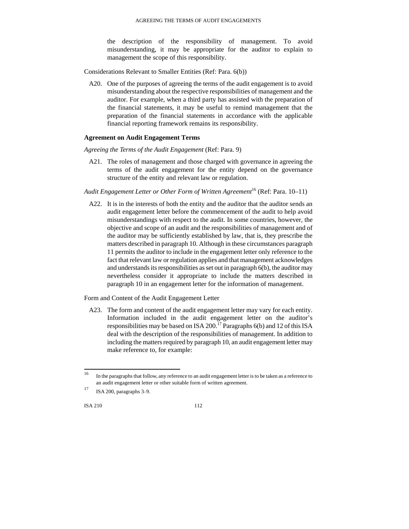the description of the responsibility of management. To avoid misunderstanding, it may be appropriate for the auditor to explain to management the scope of this responsibility.

Considerations Relevant to Smaller Entities (Ref: Para. 6(b))

A20. One of the purposes of agreeing the terms of the audit engagement is to avoid misunderstanding about the respective responsibilities of management and the auditor. For example, when a third party has assisted with the preparation of the financial statements, it may be useful to remind management that the preparation of the financial statements in accordance with the applicable financial reporting framework remains its responsibility.

#### **Agreement on Audit Engagement Terms**

*Agreeing the Terms of the Audit Engagement* (Ref: Para. 9)

A21. The roles of management and those charged with governance in agreeing the terms of the audit engagement for the entity depend on the governance structure of the entity and relevant law or regulation.

*Audit Engagement Letter or Other Form of Written Agreement*<sup>16</sup> (Ref: Para. 10–11)

A22. It is in the interests of both the entity and the auditor that the auditor sends an audit engagement letter before the commencement of the audit to help avoid misunderstandings with respect to the audit. In some countries, however, the objective and scope of an audit and the responsibilities of management and of the auditor may be sufficiently established by law, that is, they prescribe the matters described in paragraph 10. Although in these circumstances paragraph 11 permits the auditor to include in the engagement letter only reference to the fact that relevant law or regulation applies and that management acknowledges and understands its responsibilities as set out in paragraph 6(b), the auditor may nevertheless consider it appropriate to include the matters described in paragraph 10 in an engagement letter for the information of management.

Form and Content of the Audit Engagement Letter

A23. The form and content of the audit engagement letter may vary for each entity. Information included in the audit engagement letter on the auditor's responsibilities may be based on ISA 200.<sup>17</sup> Paragraphs  $6(b)$  and 12 of this ISA deal with the description of the responsibilities of management. In addition to including the matters required by paragraph 10, an audit engagement letter may make reference to, for example:

 $16\,$ 16 In the paragraphs that follow, any reference to an audit engagement letter is to be taken as a reference to an audit engagement letter or other suitable form of written agreement.

 $17$  ISA 200, paragraphs 3–9.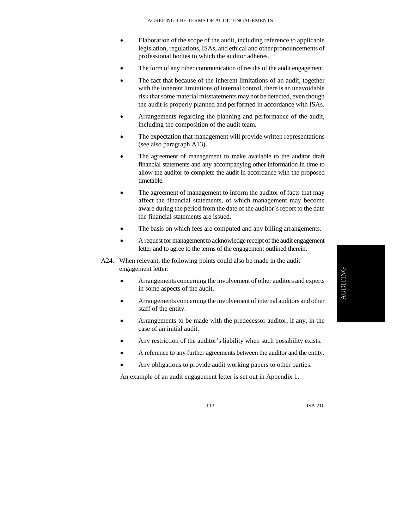- Elaboration of the scope of the audit, including reference to applicable legislation, regulations, ISAs, and ethical and other pronouncements of professional bodies to which the auditor adheres.
- The form of any other communication of results of the audit engagement.
- The fact that because of the inherent limitations of an audit, together with the inherent limitations of internal control, there is an unavoidable risk that some material misstatements may not be detected, even though the audit is properly planned and performed in accordance with ISAs.
- Arrangements regarding the planning and performance of the audit, including the composition of the audit team.
- The expectation that management will provide written representations (see also paragraph A13).
- The agreement of management to make available to the auditor draft financial statements and any accompanying other information in time to allow the auditor to complete the audit in accordance with the proposed timetable.
- The agreement of management to inform the auditor of facts that may affect the financial statements, of which management may become aware during the period from the date of the auditor's report to the date the financial statements are issued.
- The basis on which fees are computed and any billing arrangements.
- A request for management to acknowledge receipt of the audit engagement letter and to agree to the terms of the engagement outlined therein.
- A24. When relevant, the following points could also be made in the audit engagement letter:
	- Arrangements concerning the involvement of other auditors and experts in some aspects of the audit.
	- Arrangements concerning the involvement of internal auditors and other staff of the entity.
	- Arrangements to be made with the predecessor auditor, if any, in the case of an initial audit.
	- Any restriction of the auditor's liability when such possibility exists.
	- A reference to any further agreements between the auditor and the entity.
	- Any obligations to provide audit working papers to other parties.

An example of an audit engagement letter is set out in Appendix 1.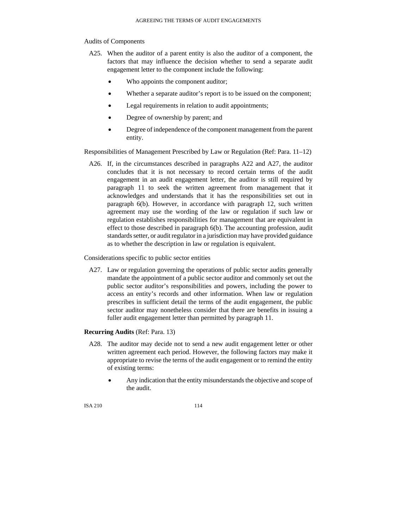Audits of Components

- A25. When the auditor of a parent entity is also the auditor of a component, the factors that may influence the decision whether to send a separate audit engagement letter to the component include the following:
	- Who appoints the component auditor;
	- Whether a separate auditor's report is to be issued on the component;
	- Legal requirements in relation to audit appointments;
	- Degree of ownership by parent; and
	- Degree of independence of the component management from the parent entity.

Responsibilities of Management Prescribed by Law or Regulation (Ref: Para. 11–12)

A26. If, in the circumstances described in paragraphs A22 and A27, the auditor concludes that it is not necessary to record certain terms of the audit engagement in an audit engagement letter, the auditor is still required by paragraph 11 to seek the written agreement from management that it acknowledges and understands that it has the responsibilities set out in paragraph 6(b). However, in accordance with paragraph 12, such written agreement may use the wording of the law or regulation if such law or regulation establishes responsibilities for management that are equivalent in effect to those described in paragraph 6(b). The accounting profession, audit standards setter, or audit regulator in a jurisdiction may have provided guidance as to whether the description in law or regulation is equivalent.

Considerations specific to public sector entities

A27. Law or regulation governing the operations of public sector audits generally mandate the appointment of a public sector auditor and commonly set out the public sector auditor's responsibilities and powers, including the power to access an entity's records and other information. When law or regulation prescribes in sufficient detail the terms of the audit engagement, the public sector auditor may nonetheless consider that there are benefits in issuing a fuller audit engagement letter than permitted by paragraph 11.

#### **Recurring Audits** (Ref: Para. 13)

- A28. The auditor may decide not to send a new audit engagement letter or other written agreement each period. However, the following factors may make it appropriate to revise the terms of the audit engagement or to remind the entity of existing terms:
	- Any indication that the entity misunderstands the objective and scope of the audit.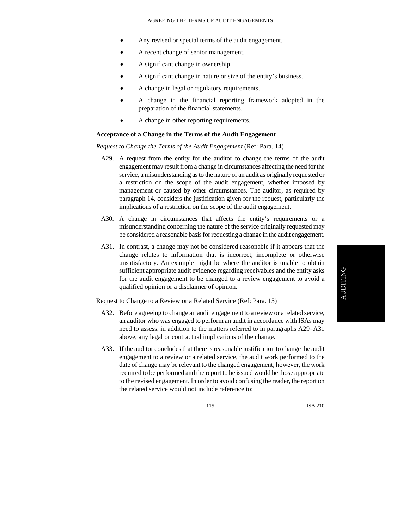- Any revised or special terms of the audit engagement.
- A recent change of senior management.
- A significant change in ownership.
- A significant change in nature or size of the entity's business.
- A change in legal or regulatory requirements.
- A change in the financial reporting framework adopted in the preparation of the financial statements.
- A change in other reporting requirements.

#### **Acceptance of a Change in the Terms of the Audit Engagement**

*Request to Change the Terms of the Audit Engagement* (Ref: Para. 14)

- A29. A request from the entity for the auditor to change the terms of the audit engagement may result from a change in circumstances affecting the need for the service, a misunderstanding as to the nature of an audit as originally requested or a restriction on the scope of the audit engagement, whether imposed by management or caused by other circumstances. The auditor, as required by paragraph 14, considers the justification given for the request, particularly the implications of a restriction on the scope of the audit engagement.
- A30. A change in circumstances that affects the entity's requirements or a misunderstanding concerning the nature of the service originally requested may be considered a reasonable basis for requesting a change in the audit engagement.
- A31. In contrast, a change may not be considered reasonable if it appears that the change relates to information that is incorrect, incomplete or otherwise unsatisfactory. An example might be where the auditor is unable to obtain sufficient appropriate audit evidence regarding receivables and the entity asks for the audit engagement to be changed to a review engagement to avoid a qualified opinion or a disclaimer of opinion.

Request to Change to a Review or a Related Service (Ref: Para. 15)

- A32. Before agreeing to change an audit engagement to a review or a related service, an auditor who was engaged to perform an audit in accordance with ISAs may need to assess, in addition to the matters referred to in paragraphs A29–A31 above, any legal or contractual implications of the change.
- A33. If the auditor concludes that there is reasonable justification to change the audit engagement to a review or a related service, the audit work performed to the date of change may be relevant to the changed engagement; however, the work required to be performed and the report to be issued would be those appropriate to the revised engagement. In order to avoid confusing the reader, the report on the related service would not include reference to:

115 ISA 210

AUDITING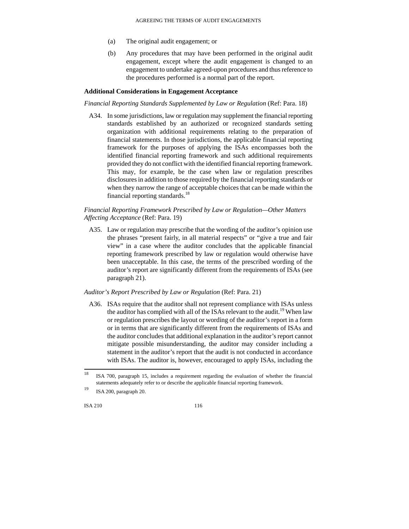- (a) The original audit engagement; or
- (b) Any procedures that may have been performed in the original audit engagement, except where the audit engagement is changed to an engagement to undertake agreed-upon procedures and thus reference to the procedures performed is a normal part of the report.

#### **Additional Considerations in Engagement Acceptance**

*Financial Reporting Standards Supplemented by Law or Regulation* (Ref: Para. 18)

A34. In some jurisdictions, law or regulation may supplement the financial reporting standards established by an authorized or recognized standards setting organization with additional requirements relating to the preparation of financial statements. In those jurisdictions, the applicable financial reporting framework for the purposes of applying the ISAs encompasses both the identified financial reporting framework and such additional requirements provided they do not conflict with the identified financial reporting framework. This may, for example, be the case when law or regulation prescribes disclosures in addition to those required by the financial reporting standards or when they narrow the range of acceptable choices that can be made within the financial reporting standards.<sup>18</sup>

#### *Financial Reporting Framework Prescribed by Law or Regulation—Other Matters Affecting Acceptance* (Ref: Para. 19)

A35. Law or regulation may prescribe that the wording of the auditor's opinion use the phrases "present fairly, in all material respects" or "give a true and fair view" in a case where the auditor concludes that the applicable financial reporting framework prescribed by law or regulation would otherwise have been unacceptable. In this case, the terms of the prescribed wording of the auditor's report are significantly different from the requirements of ISAs (see paragraph 21).

#### *Auditor's Report Prescribed by Law or Regulation* (Ref: Para. 21)

A36. ISAs require that the auditor shall not represent compliance with ISAs unless the auditor has complied with all of the ISAs relevant to the audit.<sup>19</sup> When law or regulation prescribes the layout or wording of the auditor's report in a form or in terms that are significantly different from the requirements of ISAs and the auditor concludes that additional explanation in the auditor's report cannot mitigate possible misunderstanding, the auditor may consider including a statement in the auditor's report that the audit is not conducted in accordance with ISAs. The auditor is, however, encouraged to apply ISAs, including the

<sup>18</sup> 18 ISA 700, paragraph 15, includes a requirement regarding the evaluation of whether the financial statements adequately refer to or describe the applicable financial reporting framework.

 $19$  ISA 200, paragraph 20.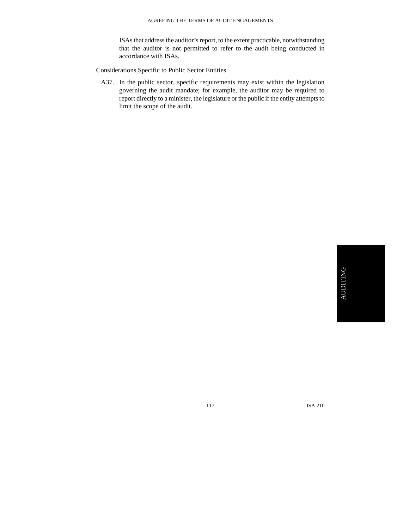ISAs that address the auditor's report, to the extent practicable, notwithstanding that the auditor is not permitted to refer to the audit being conducted in accordance with ISAs.

Considerations Specific to Public Sector Entities

A37. In the public sector, specific requirements may exist within the legislation governing the audit mandate; for example, the auditor may be required to report directly to a minister, the legislature or the public if the entity attempts to limit the scope of the audit.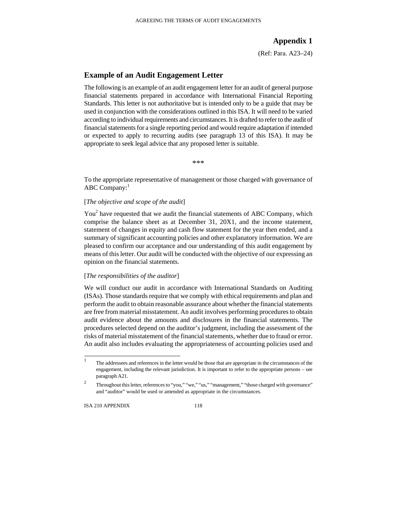#### **Appendix 1**

(Ref: Para. A23–24)

#### **Example of an Audit Engagement Letter**

The following is an example of an audit engagement letter for an audit of general purpose financial statements prepared in accordance with International Financial Reporting Standards. This letter is not authoritative but is intended only to be a guide that may be used in conjunction with the considerations outlined in this ISA. It will need to be varied according to individual requirements and circumstances. It is drafted to refer to the audit of financial statements for a single reporting period and would require adaptation if intended or expected to apply to recurring audits (see paragraph 13 of this ISA). It may be appropriate to seek legal advice that any proposed letter is suitable.

\*\*\*

To the appropriate representative of management or those charged with governance of ABC Company:<sup>1</sup>

#### [*The objective and scope of the audit*]

You<sup>2</sup> have requested that we audit the financial statements of ABC Company, which comprise the balance sheet as at December 31, 20X1, and the income statement, statement of changes in equity and cash flow statement for the year then ended, and a summary of significant accounting policies and other explanatory information. We are pleased to confirm our acceptance and our understanding of this audit engagement by means of this letter. Our audit will be conducted with the objective of our expressing an opinion on the financial statements.

#### [*The responsibilities of the auditor*]

We will conduct our audit in accordance with International Standards on Auditing (ISAs). Those standards require that we comply with ethical requirements and plan and perform the audit to obtain reasonable assurance about whether the financial statements are free from material misstatement. An audit involves performing procedures to obtain audit evidence about the amounts and disclosures in the financial statements. The procedures selected depend on the auditor's judgment, including the assessment of the risks of material misstatement of the financial statements, whether due to fraud or error. An audit also includes evaluating the appropriateness of accounting policies used and

 $\frac{1}{1}$  The addressees and references in the letter would be those that are appropriate in the circumstances of the engagement, including the relevant jurisdiction. It is important to refer to the appropriate persons – see paragraph A21.

<sup>2</sup> Throughout this letter, references to "you," "we," "us," "management," "those charged with governance" and "auditor" would be used or amended as appropriate in the circumstances.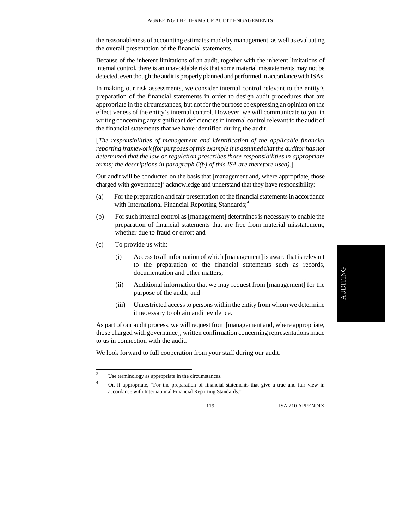the reasonableness of accounting estimates made by management, as well as evaluating the overall presentation of the financial statements.

Because of the inherent limitations of an audit, together with the inherent limitations of internal control, there is an unavoidable risk that some material misstatements may not be detected, even though the audit is properly planned and performed in accordance with ISAs.

In making our risk assessments, we consider internal control relevant to the entity's preparation of the financial statements in order to design audit procedures that are appropriate in the circumstances, but not for the purpose of expressing an opinion on the effectiveness of the entity's internal control. However, we will communicate to you in writing concerning any significant deficiencies in internal control relevant to the audit of the financial statements that we have identified during the audit.

[*The responsibilities of management and identification of the applicable financial reporting framework (for purposes of this example it is assumed that the auditor has not determined that the law or regulation prescribes those responsibilities in appropriate terms; the descriptions in paragraph 6(b) of this ISA are therefore used).*]

Our audit will be conducted on the basis that [management and, where appropriate, those charged with governance]<sup>3</sup> acknowledge and understand that they have responsibility:

- (a) For the preparation and fair presentation of the financial statements in accordance with International Financial Reporting Standards;<sup>4</sup>
- (b) For such internal control as [management] determines is necessary to enable the preparation of financial statements that are free from material misstatement, whether due to fraud or error; and
- (c) To provide us with:
	- (i) Access to all information of which [management] is aware that is relevant to the preparation of the financial statements such as records, documentation and other matters;
	- (ii) Additional information that we may request from [management] for the purpose of the audit; and
	- (iii) Unrestricted access to persons within the entity from whom we determine it necessary to obtain audit evidence.

As part of our audit process, we will request from [management and, where appropriate, those charged with governance], written confirmation concerning representations made to us in connection with the audit.

We look forward to full cooperation from your staff during our audit.

AUDITING

 3 Use terminology as appropriate in the circumstances.

<sup>4</sup> Or, if appropriate, "For the preparation of financial statements that give a true and fair view in accordance with International Financial Reporting Standards."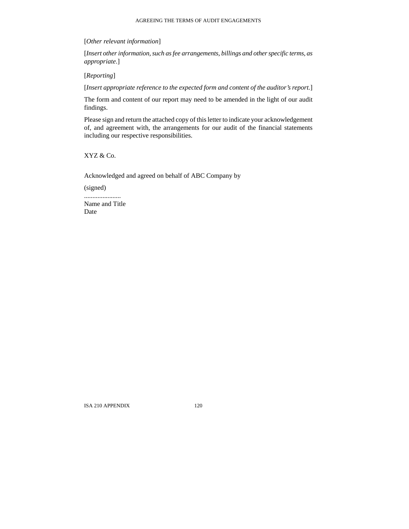[*Other relevant information*]

[*Insert other information, such as fee arrangements, billings and other specific terms, as appropriate*.]

[*Reporting*]

[*Insert appropriate reference to the expected form and content of the auditor's report.*]

The form and content of our report may need to be amended in the light of our audit findings.

Please sign and return the attached copy of this letter to indicate your acknowledgement of, and agreement with, the arrangements for our audit of the financial statements including our respective responsibilities.

XYZ & Co.

Acknowledged and agreed on behalf of ABC Company by

(signed)

Name and Title Date

......................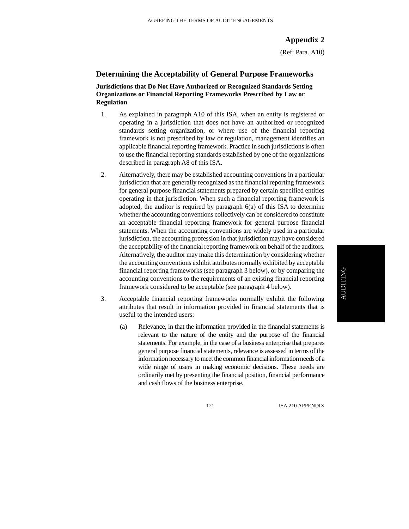(Ref: Para. A10)

# **Determining the Acceptability of General Purpose Frameworks**

**Jurisdictions that Do Not Have Authorized or Recognized Standards Setting Organizations or Financial Reporting Frameworks Prescribed by Law or Regulation** 

- 1. As explained in paragraph A10 of this ISA, when an entity is registered or operating in a jurisdiction that does not have an authorized or recognized standards setting organization, or where use of the financial reporting framework is not prescribed by law or regulation, management identifies an applicable financial reporting framework. Practice in such jurisdictions is often to use the financial reporting standards established by one of the organizations described in paragraph A8 of this ISA.
- 2. Alternatively, there may be established accounting conventions in a particular jurisdiction that are generally recognized as the financial reporting framework for general purpose financial statements prepared by certain specified entities operating in that jurisdiction. When such a financial reporting framework is adopted, the auditor is required by paragraph 6(a) of this ISA to determine whether the accounting conventions collectively can be considered to constitute an acceptable financial reporting framework for general purpose financial statements. When the accounting conventions are widely used in a particular jurisdiction, the accounting profession in that jurisdiction may have considered the acceptability of the financial reporting framework on behalf of the auditors. Alternatively, the auditor may make this determination by considering whether the accounting conventions exhibit attributes normally exhibited by acceptable financial reporting frameworks (see paragraph 3 below), or by comparing the accounting conventions to the requirements of an existing financial reporting framework considered to be acceptable (see paragraph 4 below).
- 3. Acceptable financial reporting frameworks normally exhibit the following attributes that result in information provided in financial statements that is useful to the intended users:
	- (a) Relevance, in that the information provided in the financial statements is relevant to the nature of the entity and the purpose of the financial statements. For example, in the case of a business enterprise that prepares general purpose financial statements, relevance is assessed in terms of the information necessary to meet the common financial information needs of a wide range of users in making economic decisions. These needs are ordinarily met by presenting the financial position, financial performance and cash flows of the business enterprise.